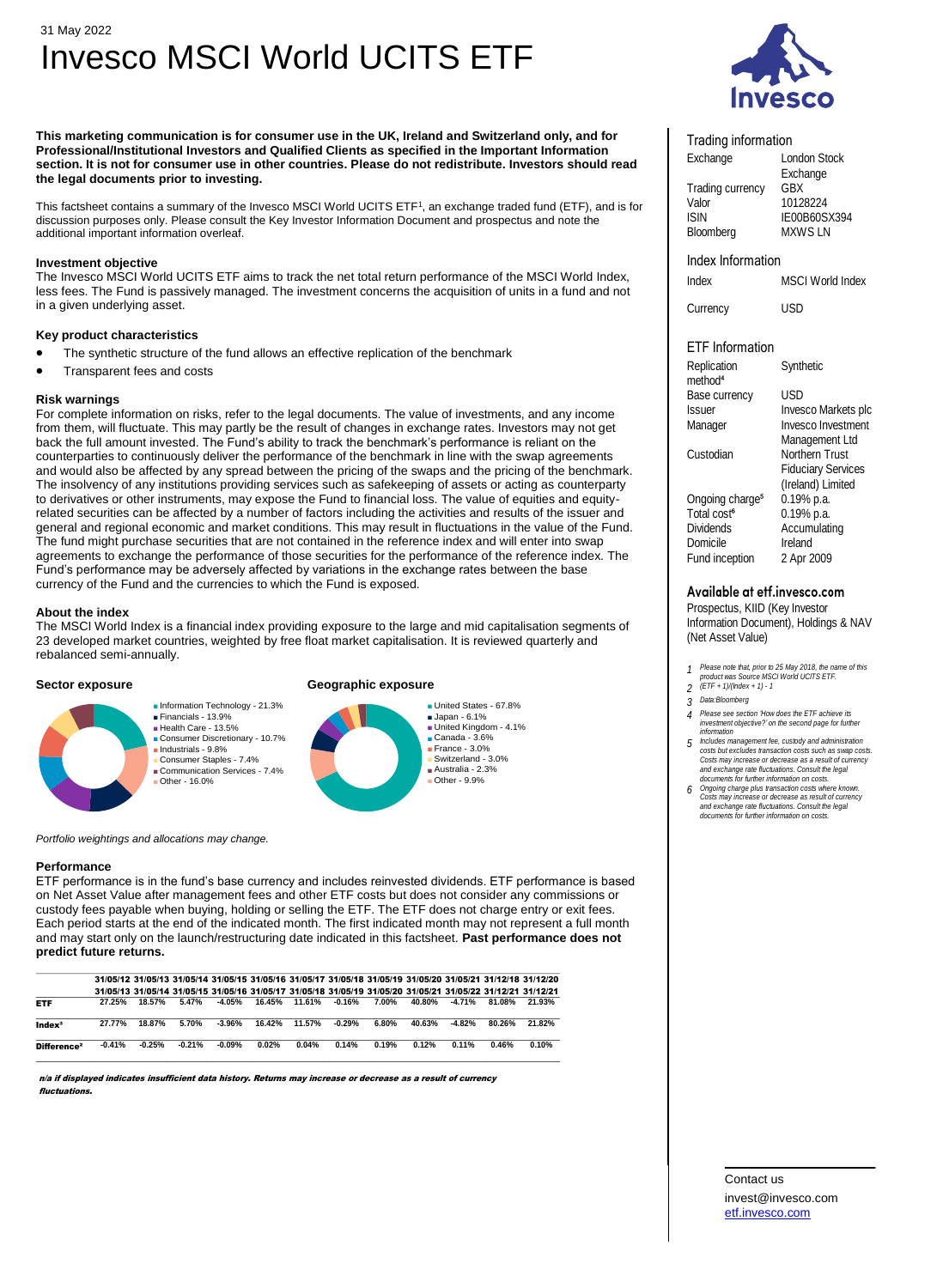# 31 May 2022 Invesco MSCI World UCITS ETF

**This marketing communication is for consumer use in the UK, Ireland and Switzerland only, and for Professional/Institutional Investors and Qualified Clients as specified in the Important Information section. It is not for consumer use in other countries. Please do not redistribute. Investors should read the legal documents prior to investing.**

This factsheet contains a summary of the Invesco MSCI World UCITS ETF<sup>1</sup> , an exchange traded fund (ETF), and is for discussion purposes only. Please consult the Key Investor Information Document and prospectus and note the additional important information overleaf.

# **Investment objective**

The Invesco MSCI World UCITS ETF aims to track the net total return performance of the MSCI World Index, less fees. The Fund is passively managed. The investment concerns the acquisition of units in a fund and not in a given underlying asset.

# **Key product characteristics**

- The synthetic structure of the fund allows an effective replication of the benchmark
- Transparent fees and costs

# **Risk warnings**

For complete information on risks, refer to the legal documents. The value of investments, and any income from them, will fluctuate. This may partly be the result of changes in exchange rates. Investors may not get back the full amount invested. The Fund's ability to track the benchmark's performance is reliant on the counterparties to continuously deliver the performance of the benchmark in line with the swap agreements and would also be affected by any spread between the pricing of the swaps and the pricing of the benchmark. The insolvency of any institutions providing services such as safekeeping of assets or acting as counterparty to derivatives or other instruments, may expose the Fund to financial loss. The value of equities and equityrelated securities can be affected by a number of factors including the activities and results of the issuer and general and regional economic and market conditions. This may result in fluctuations in the value of the Fund. The fund might purchase securities that are not contained in the reference index and will enter into swap agreements to exchange the performance of those securities for the performance of the reference index. The Fund's performance may be adversely affected by variations in the exchange rates between the base currency of the Fund and the currencies to which the Fund is exposed.

### **About the index**

The MSCI World Index is a financial index providing exposure to the large and mid capitalisation segments of 23 developed market countries, weighted by free float market capitalisation. It is reviewed quarterly and rebalanced semi-annually.

# **Sector exposure Geographic exposure**



#### *Portfolio weightings and allocations may change.*

■ Financials - 13.9%

■ Industrials - 9.8%

■ Other - 16.0%

#### **Performance**

ETF performance is in the fund's base currency and includes reinvested dividends. ETF performance is based on Net Asset Value after management fees and other ETF costs but does not consider any commissions or custody fees payable when buying, holding or selling the ETF. The ETF does not charge entry or exit fees. Each period starts at the end of the indicated month. The first indicated month may not represent a full month and may start only on the launch/restructuring date indicated in this factsheet. **Past performance does not predict future returns.**

|                         |          |          | 31/05/12 31/05/13 31/05/14 31/05/15 31/05/16 31/05/17 31/05/18 31/05/19 31/05/20 31/05/21 31/12/18 31/12/20 |           |        |        |          |       |        |          |        |        |
|-------------------------|----------|----------|-------------------------------------------------------------------------------------------------------------|-----------|--------|--------|----------|-------|--------|----------|--------|--------|
|                         |          |          | 31/05/13 31/05/14 31/05/15 31/05/16 31/05/17 31/05/18 31/05/19 31/05/20 31/05/21 31/05/22 31/12/21 31/12/21 |           |        |        |          |       |        |          |        |        |
| <b>ETF</b>              | 27.25%   | 18.57%   | 5.47%                                                                                                       | -4.05%    | 16.45% | 11.61% | -0.16%   | 7.00% | 40.80% | $-4.71%$ | 81.08% | 21.93% |
| Index <sup>3</sup>      | 27.77%   | 18.87%   | 5.70%                                                                                                       | $-3.96%$  | 16.42% | 11.57% | $-0.29%$ | 6.80% | 40.63% | $-4.82%$ | 80.26% | 21.82% |
| Difference <sup>2</sup> | $-0.41%$ | $-0.25%$ | $-0.21%$                                                                                                    | $-0.09\%$ | 0.02%  | 0.04%  | 0.14%    | 0.19% | 0.12%  | $0.11\%$ | 0.46%  | 0.10%  |

n/a if displayed indicates insufficient data history. Returns may increase or decrease as a result of currency fluctuations.



### Trading information

| Exchange                | <b>London Stock</b> |  |  |  |  |  |
|-------------------------|---------------------|--|--|--|--|--|
|                         | Exchange            |  |  |  |  |  |
| <b>Trading currency</b> | GBX                 |  |  |  |  |  |
| Valor                   | 10128224            |  |  |  |  |  |
| <b>ISIN</b>             | IE00B60SX394        |  |  |  |  |  |
| Bloomberg               | <b>MXWSLN</b>       |  |  |  |  |  |

# Index Information

Index MSCI World Index

Currency USD

**Synthetic** 

# ETF Information

Replication<br>method<sup>4</sup> Base currency USD

Ongoing charge<sup>5</sup><br>Total cost<sup>6</sup>

Issuer Invesco Markets plc Manager Invesco Investment<br>Management Ltd<br>Custodian Northern Trust **Fiduciary Services** (Ireland) Limited<br>0.19% p.a. Total cost<sup>6</sup> 0.19% p.a.<br>Dividends Accumulati Accumulating Domicile Ireland Fund inception 2 Apr 2009

# Available at etf.invesco.com

Prospectus, KIID (Key Investor Information Document), Holdings & NAV (Net Asset Value)

- *<sup>1</sup> Please note that, prior to 25 May 2018, the name of this product was Source MSCI World UCITS ETF. 2 (ETF + 1)/(Index + 1) 1*
- 
- *3 Data:Bloomberg*
- *4 Please see section 'How does the ETF achieve its investment objective?' on the second page for further information*
- final<br>induces management fee, custody and administration<br>costs but excludes transaction costs such as swap costs.<br>Costs may increase or decrease as a result of currency<br>and exchange rate fluctuations. Consult the legal<br>doc
- **6** *Congoing charge plus transaction costs where known.* Costs may increase or decrease as result of currency and exchange rate fluctuations. Consult the legal documents for further information on costs.

Contact us invest@invesco.com [etf.invesco.com](https://etf.invesco.com/)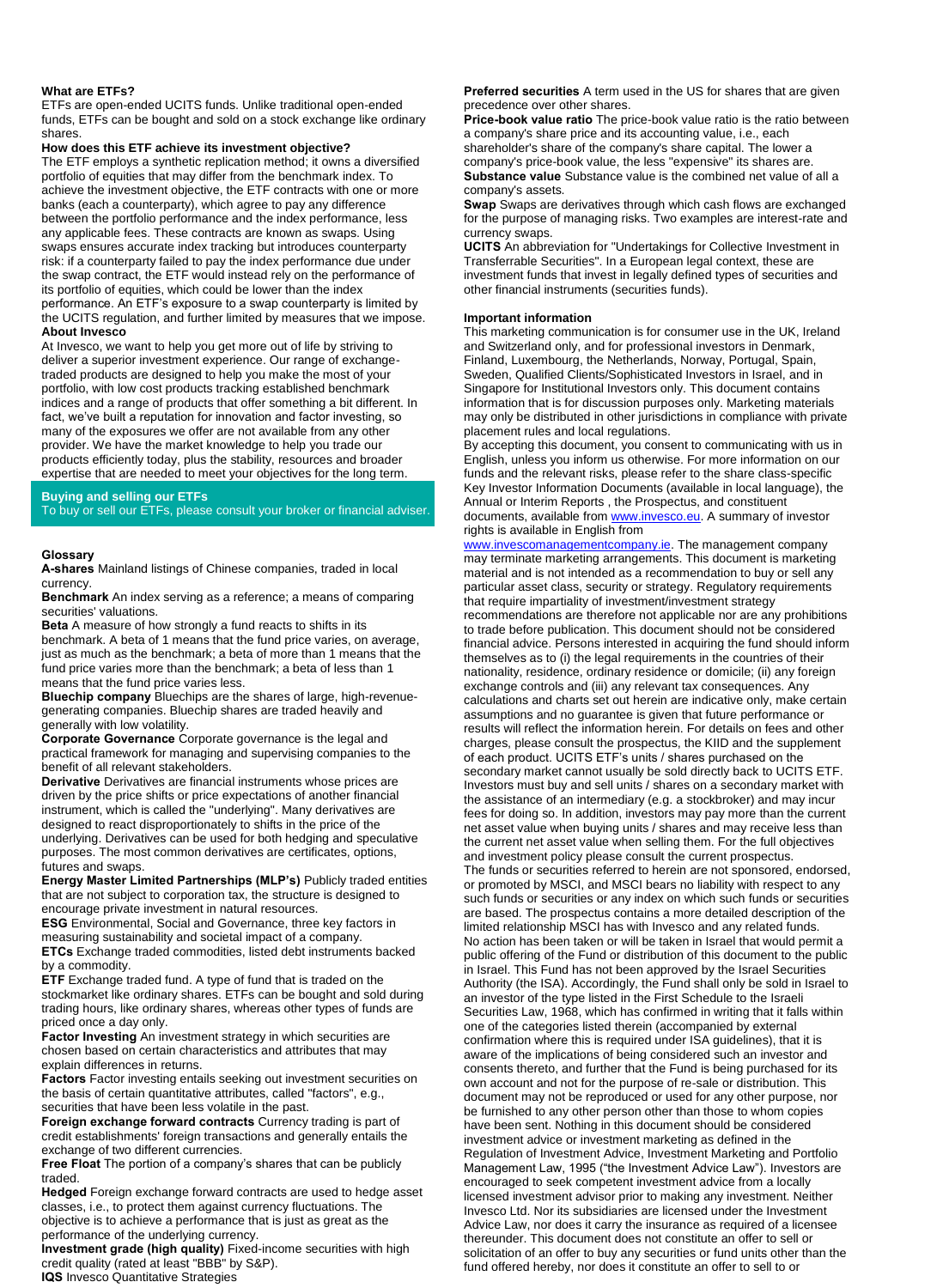# **What are ETFs?**

ETFs are open-ended UCITS funds. Unlike traditional open-ended funds, ETFs can be bought and sold on a stock exchange like ordinary shares.

### **How does this ETF achieve its investment objective?**

The ETF employs a synthetic replication method; it owns a diversified portfolio of equities that may differ from the benchmark index. To achieve the investment objective, the ETF contracts with one or more banks (each a counterparty), which agree to pay any difference between the portfolio performance and the index performance, less any applicable fees. These contracts are known as swaps. Using swaps ensures accurate index tracking but introduces counterparty risk: if a counterparty failed to pay the index performance due under the swap contract, the ETF would instead rely on the performance of its portfolio of equities, which could be lower than the index performance. An ETF's exposure to a swap counterparty is limited by the UCITS regulation, and further limited by measures that we impose. **About Invesco**

At Invesco, we want to help you get more out of life by striving to deliver a superior investment experience. Our range of exchangetraded products are designed to help you make the most of your portfolio, with low cost products tracking established benchmark indices and a range of products that offer something a bit different. In fact, we've built a reputation for innovation and factor investing, so many of the exposures we offer are not available from any other provider. We have the market knowledge to help you trade our products efficiently today, plus the stability, resources and broader expertise that are needed to meet your objectives for the long term.

# **Buying and selling our ETFs**

To buy or sell our ETFs, please consult your broker or financial adviser.

#### **Glossary**

**A-shares** Mainland listings of Chinese companies, traded in local currency.

**Benchmark** An index serving as a reference; a means of comparing securities' valuations.

**Beta** A measure of how strongly a fund reacts to shifts in its

benchmark. A beta of 1 means that the fund price varies, on average, just as much as the benchmark; a beta of more than 1 means that the fund price varies more than the benchmark; a beta of less than 1 means that the fund price varies less.

**Bluechip company** Bluechips are the shares of large, high-revenuegenerating companies. Bluechip shares are traded heavily and generally with low volatility.

**Corporate Governance** Corporate governance is the legal and practical framework for managing and supervising companies to the benefit of all relevant stakeholders.

**Derivative** Derivatives are financial instruments whose prices are driven by the price shifts or price expectations of another financial instrument, which is called the "underlying". Many derivatives are designed to react disproportionately to shifts in the price of the underlying. Derivatives can be used for both hedging and speculative purposes. The most common derivatives are certificates, options, futures and swaps.

**Energy Master Limited Partnerships (MLP's)** Publicly traded entities that are not subject to corporation tax, the structure is designed to encourage private investment in natural resources.

**ESG** Environmental, Social and Governance, three key factors in measuring sustainability and societal impact of a company. **ETCs** Exchange traded commodities, listed debt instruments backed

by a commodity. **ETF** Exchange traded fund. A type of fund that is traded on the stockmarket like ordinary shares. ETFs can be bought and sold during trading hours, like ordinary shares, whereas other types of funds are priced once a day only.

**Factor Investing** An investment strategy in which securities are chosen based on certain characteristics and attributes that may explain differences in returns.

**Factors** Factor investing entails seeking out investment securities on the basis of certain quantitative attributes, called "factors", e.g., securities that have been less volatile in the past.

**Foreign exchange forward contracts** Currency trading is part of credit establishments' foreign transactions and generally entails the exchange of two different currencies.

**Free Float** The portion of a company's shares that can be publicly traded.

**Hedged** Foreign exchange forward contracts are used to hedge asset classes, i.e., to protect them against currency fluctuations. The objective is to achieve a performance that is just as great as the performance of the underlying currency.

**Investment grade (high quality)** Fixed-income securities with high credit quality (rated at least "BBB" by S&P). **IQS** Invesco Quantitative Strategies

#### **Preferred securities** A term used in the US for shares that are given precedence over other shares.

**Price-book value ratio** The price-book value ratio is the ratio between a company's share price and its accounting value, i.e., each shareholder's share of the company's share capital. The lower a company's price-book value, the less "expensive" its shares are. **Substance value** Substance value is the combined net value of all a company's assets.

**Swap** Swaps are derivatives through which cash flows are exchanged for the purpose of managing risks. Two examples are interest-rate and currency swaps.

**UCITS** An abbreviation for "Undertakings for Collective Investment in Transferrable Securities". In a European legal context, these are investment funds that invest in legally defined types of securities and other financial instruments (securities funds).

# **Important information**

This marketing communication is for consumer use in the UK, Ireland and Switzerland only, and for professional investors in Denmark, Finland, Luxembourg, the Netherlands, Norway, Portugal, Spain, Sweden, Qualified Clients/Sophisticated Investors in Israel, and in Singapore for Institutional Investors only. This document contains information that is for discussion purposes only. Marketing materials may only be distributed in other jurisdictions in compliance with private placement rules and local regulations.

By accepting this document, you consent to communicating with us in English, unless you inform us otherwise. For more information on our funds and the relevant risks, please refer to the share class-specific Key Investor Information Documents (available in local language), the Annual or Interim Reports , the Prospectus, and constituent documents, available fro[m www.invesco.eu.](https://www.invesco.eu/) A summary of investor rights is available in English from

[www.invescomanagementcompany.ie.](https://www.invescomanagementcompany.ie/) The management company may terminate marketing arrangements. This document is marketing material and is not intended as a recommendation to buy or sell any particular asset class, security or strategy. Regulatory requirements that require impartiality of investment/investment strategy recommendations are therefore not applicable nor are any prohibitions to trade before publication. This document should not be considered financial advice. Persons interested in acquiring the fund should inform themselves as to (i) the legal requirements in the countries of their nationality, residence, ordinary residence or domicile; (ii) any foreign exchange controls and (iii) any relevant tax consequences. Any calculations and charts set out herein are indicative only, make certain assumptions and no guarantee is given that future performance or results will reflect the information herein. For details on fees and other charges, please consult the prospectus, the KIID and the supplement of each product. UCITS ETF's units / shares purchased on the secondary market cannot usually be sold directly back to UCITS ETF. Investors must buy and sell units / shares on a secondary market with the assistance of an intermediary (e.g. a stockbroker) and may incur fees for doing so. In addition, investors may pay more than the current net asset value when buying units / shares and may receive less than the current net asset value when selling them. For the full objectives and investment policy please consult the current prospectus. The funds or securities referred to herein are not sponsored, endorsed, or promoted by MSCI, and MSCI bears no liability with respect to any such funds or securities or any index on which such funds or securities are based. The prospectus contains a more detailed description of the limited relationship MSCI has with Invesco and any related funds. No action has been taken or will be taken in Israel that would permit a public offering of the Fund or distribution of this document to the public in Israel. This Fund has not been approved by the Israel Securities Authority (the ISA). Accordingly, the Fund shall only be sold in Israel to an investor of the type listed in the First Schedule to the Israeli Securities Law, 1968, which has confirmed in writing that it falls within one of the categories listed therein (accompanied by external confirmation where this is required under ISA guidelines), that it is aware of the implications of being considered such an investor and consents thereto, and further that the Fund is being purchased for its own account and not for the purpose of re-sale or distribution. This document may not be reproduced or used for any other purpose, nor be furnished to any other person other than those to whom copies have been sent. Nothing in this document should be considered investment advice or investment marketing as defined in the Regulation of Investment Advice, Investment Marketing and Portfolio Management Law, 1995 ("the Investment Advice Law"). Investors are encouraged to seek competent investment advice from a locally licensed investment advisor prior to making any investment. Neither Invesco Ltd. Nor its subsidiaries are licensed under the Investment Advice Law, nor does it carry the insurance as required of a licensee thereunder. This document does not constitute an offer to sell or solicitation of an offer to buy any securities or fund units other than the fund offered hereby, nor does it constitute an offer to sell to or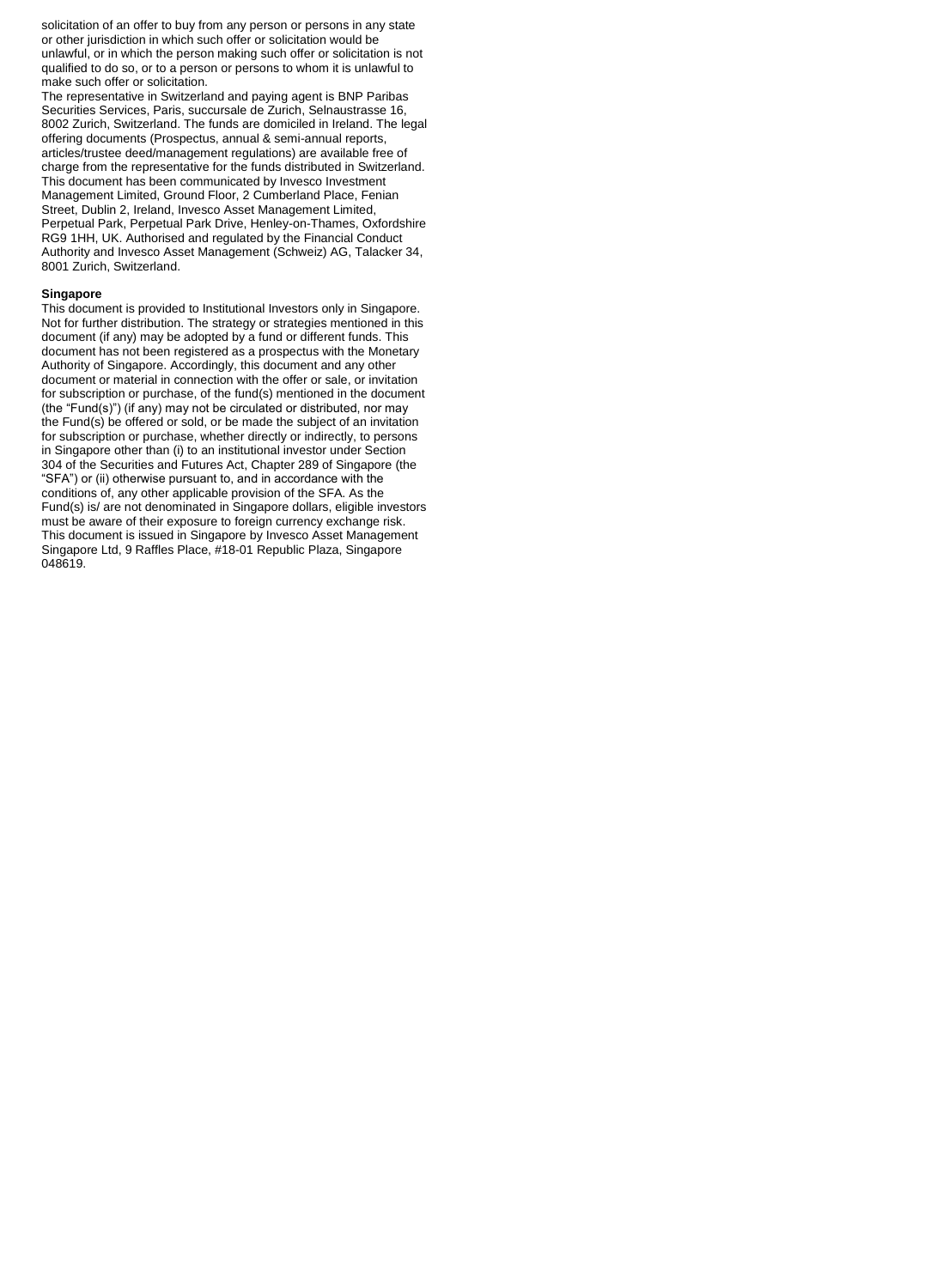solicitation of an offer to buy from any person or persons in any state or other jurisdiction in which such offer or solicitation would be unlawful, or in which the person making such offer or solicitation is not qualified to do so, or to a person or persons to whom it is unlawful to make such offer or solicitation.

The representative in Switzerland and paying agent is BNP Paribas Securities Services, Paris, succursale de Zurich, Selnaustrasse 16, 8002 Zurich, Switzerland. The funds are domiciled in Ireland. The legal offering documents (Prospectus, annual & semi-annual reports, articles/trustee deed/management regulations) are available free of charge from the representative for the funds distributed in Switzerland. This document has been communicated by Invesco Investment Management Limited, Ground Floor, 2 Cumberland Place, Fenian Street, Dublin 2, Ireland, Invesco Asset Management Limited, Perpetual Park, Perpetual Park Drive, Henley-on-Thames, Oxfordshire RG9 1HH, UK. Authorised and regulated by the Financial Conduct Authority and Invesco Asset Management (Schweiz) AG, Talacker 34, 8001 Zurich, Switzerland.

#### **Singapore**

This document is provided to Institutional Investors only in Singapore. Not for further distribution. The strategy or strategies mentioned in this document (if any) may be adopted by a fund or different funds. This document has not been registered as a prospectus with the Monetary Authority of Singapore. Accordingly, this document and any other document or material in connection with the offer or sale, or invitation for subscription or purchase, of the fund(s) mentioned in the document (the "Fund(s)") (if any) may not be circulated or distributed, nor may the Fund(s) be offered or sold, or be made the subject of an invitation for subscription or purchase, whether directly or indirectly, to persons in Singapore other than (i) to an institutional investor under Section 304 of the Securities and Futures Act, Chapter 289 of Singapore (the "SFA") or (ii) otherwise pursuant to, and in accordance with the conditions of, any other applicable provision of the SFA. As the Fund(s) is/ are not denominated in Singapore dollars, eligible investors must be aware of their exposure to foreign currency exchange risk. This document is issued in Singapore by Invesco Asset Management Singapore Ltd, 9 Raffles Place, #18-01 Republic Plaza, Singapore 048619.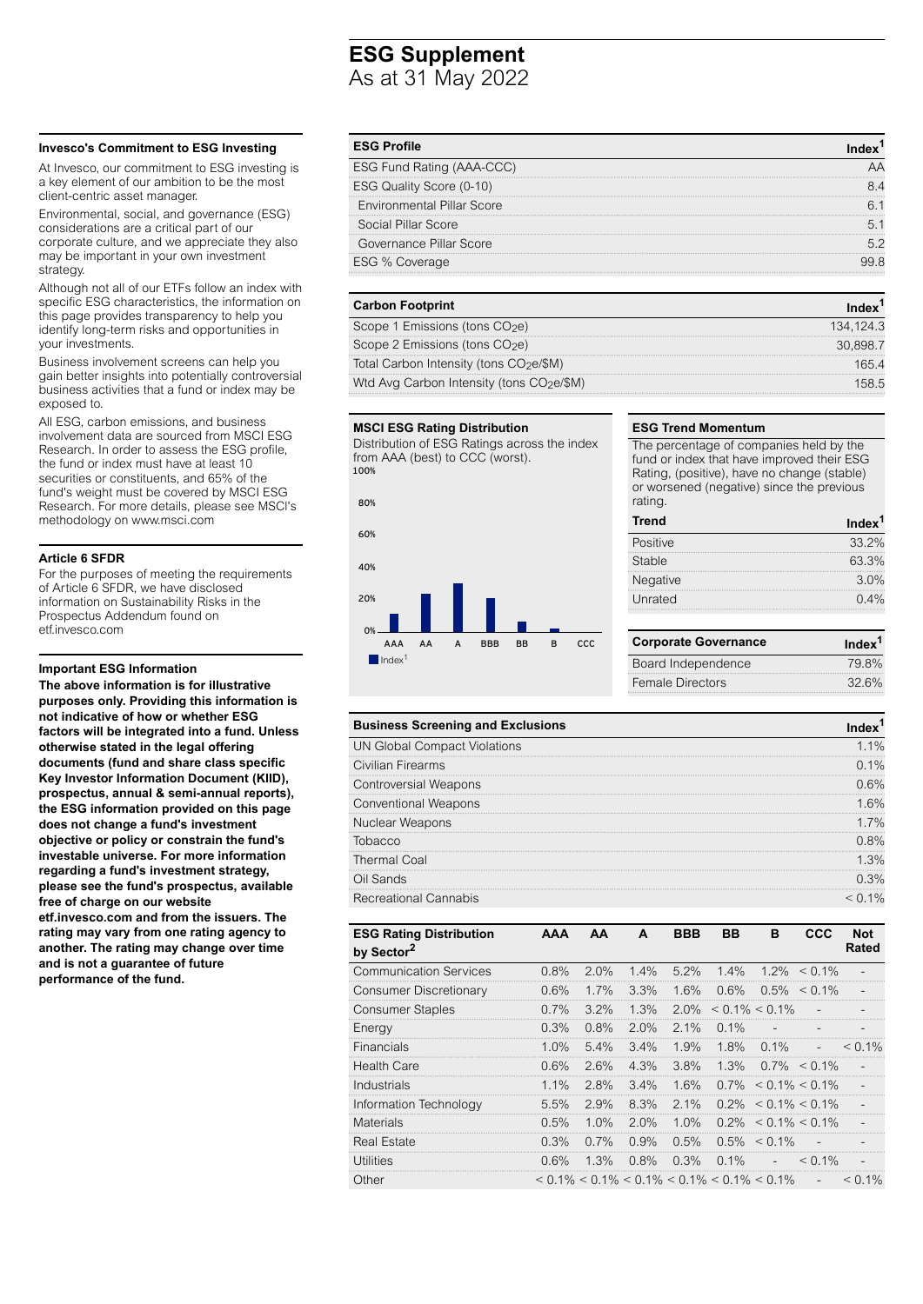# **ESG Supplement**

As at 31 May 2022

# **Invesco's Commitment to ESG Investing**

At Invesco, our commitment to ESG investing is a key element of our ambition to be the most client-centric asset manager.

Environmental, social, and governance (ESG) considerations are a critical part of our corporate culture, and we appreciate they also may be important in your own investment strategy.

Although not all of our ETFs follow an index with specific ESG characteristics, the information on this page provides transparency to help you identify long-term risks and opportunities in your investments.

Business involvement screens can help you gain better insights into potentially controversial business activities that a fund or index may be exposed to.

All ESG, carbon emissions, and business involvement data are sourced from MSCI ESG Research. In order to assess the ESG profile, the fund or index must have at least 10 securities or constituents, and 65% of the fund's weight must be covered by MSCI ESG Research. For more details, please see MSCl's methodology on www.msci.com

# **Article 6 SFDR**

For the purposes of meeting the requirements of Article 6 SFDR, we have disclosed information on Sustainability Risks in the Prospectus Addendum found on etf.invesco.com

# **Important ESG Information**

**The above information is for illustrative purposes only. Providing this information is not indicative of how or whether ESG factors will be integrated into a fund. Unless otherwise stated in the legal offering documents (fund and share class specific Key Investor Information Document (KIID), prospectus, annual & semi-annual reports), the ESG information provided on this page does not change a fund's investment objective or policy or constrain the fund's investable universe. For more information regarding a fund's investment strategy, please see the fund's prospectus, available free of charge on our website etf.invesco.com and from the issuers. The rating may vary from one rating agency to another. The rating may change over time and is not a guarantee of future performance of the fund.**

| <b>ESG Profile</b>                |    |
|-----------------------------------|----|
| ESG Fund Rating (AAA-CCC)         |    |
| ESG Quality Score (0-10)          |    |
| <b>Environmental Pillar Score</b> |    |
| Social Pillar Score               |    |
| Governance Pillar Score           | 52 |
| ESG % Coverage                    |    |
|                                   |    |

# **Carbon Footprint Index<sup>1</sup> <b>Index<sup>1</sup>**

Scope 1 Emissions (tons CO<sub>2</sub>e) 134,124.3 Scope 2 Emissions (tons CO<sub>2</sub>e) 30,898.7 Total Carbon Intensity (tons CO<sub>2</sub>e/\$M) 165.4 Wtd Avg Carbon Intensity (tons CO<sub>2</sub>e/\$M) 158.5

### **MSCI ESG Rating Distribution**

Distribution of ESG Ratings across the index from AAA (best) to CCC (worst). 100%



# **ESG Trend Momentum**

The percentage of companies held by the fund or index that have improved their ESG Rating, (positive), have no change (stable) or worsened (negative) since the previous rating.

| <b>Trend</b> | Index <sup>1</sup> |
|--------------|--------------------|
| Positive     | 33.2%              |
| Stable       | 63.3%              |
| Negative     | 3.0%               |
| Unrated      | $0.4\%$            |
|              |                    |

| <b>Corporate Governance</b> | Index <sup>1</sup> |  |  |
|-----------------------------|--------------------|--|--|
| Board Independence          | 79.8%              |  |  |
| Female Directors            | 32.6%              |  |  |

| <b>Business Screening and Exclusions</b> |         |
|------------------------------------------|---------|
| <b>UN Global Compact Violations</b>      | 1.1%    |
| Civilian Firearms                        | $0.1\%$ |
| <b>Controversial Weapons</b>             | በ 6%    |
| <b>Conventional Weapons</b>              | 1 6%    |
| Nuclear Weapons                          | 1.7%    |
| Tobacco                                  | በ ጸ%    |
| <b>Thermal Coal</b>                      | 1.3%    |
| Oil Sands                                | 0.3%    |
| <b>Recreational Cannabis</b>             | $1\%$   |

| <b>ESG Rating Distribution</b><br>by Sector <sup>2</sup> | <b>AAA</b> | AA      | A       | <b>BBB</b> | <b>BB</b>                                         | B                 | <b>CCC</b>                    | <b>Not</b><br>Rated |
|----------------------------------------------------------|------------|---------|---------|------------|---------------------------------------------------|-------------------|-------------------------------|---------------------|
| <b>Communication Services</b>                            | $0.8\%$    | $2.0\%$ | $1.4\%$ | $5.2\%$    | $1.4\%$                                           |                   | $1.2\% \leq 0.1\%$            |                     |
| Consumer Discretionary                                   | 0.6%       | $1.7\%$ | 3.3%    | 1.6%       | 0.6%                                              |                   | $0.5\% \le 0.1\%$             |                     |
| <b>Consumer Staples</b>                                  | $0.7\%$    | $3.2\%$ | 1.3%    | $2.0\%$    | $< 0.1\% < 0.1\%$                                 |                   | $\overline{a}$                |                     |
| Energy                                                   | 0.3%       | 0.8%    | 2.0%    | $2.1\%$    | $0.1\%$                                           |                   |                               |                     |
| <b>Financials</b>                                        | 1.0%       | 5.4%    | $3.4\%$ | 1.9%       | 1.8%                                              | $0.1\%$           | $\overline{a}$                | $<$ 0.1%            |
| Health Care                                              | 0.6%       | 2.6%    | 4.3%    | 3.8%       | 1.3%                                              |                   | $0.7\% \le 0.1\%$             |                     |
| Industrials                                              | 1.1%       | 2.8%    | 3.4%    | 1.6%       |                                                   |                   | $0.7\% < 0.1\% < 0.1\%$       |                     |
| Information Technology                                   | 5.5%       | 2.9%    | 8.3%    | $2.1\%$    |                                                   |                   | $0.2\% < 0.1\% < 0.1\%$       |                     |
| <b>Materials</b>                                         | 0.5%       | $1.0\%$ | $2.0\%$ | 1.0%       |                                                   |                   | $0.2\% \leq 0.1\% \leq 0.1\%$ |                     |
| <b>Real Estate</b>                                       | 0.3%       | $0.7\%$ | 0.9%    | 0.5%       |                                                   | $0.5\% \le 0.1\%$ | $\overline{a}$                |                     |
| Utilities                                                | 0.6%       | 1.3%    | 0.8%    | 0.3%       | $0.1\%$                                           | $\overline{a}$    | $<$ 0.1%                      |                     |
| Other                                                    |            |         |         |            | $0.1\%$ < 0.1% < 0.1% < 0.1% < 0.1% < 0.1% < 0.1% |                   | $\overline{\phantom{a}}$      | $< 0.1\%$           |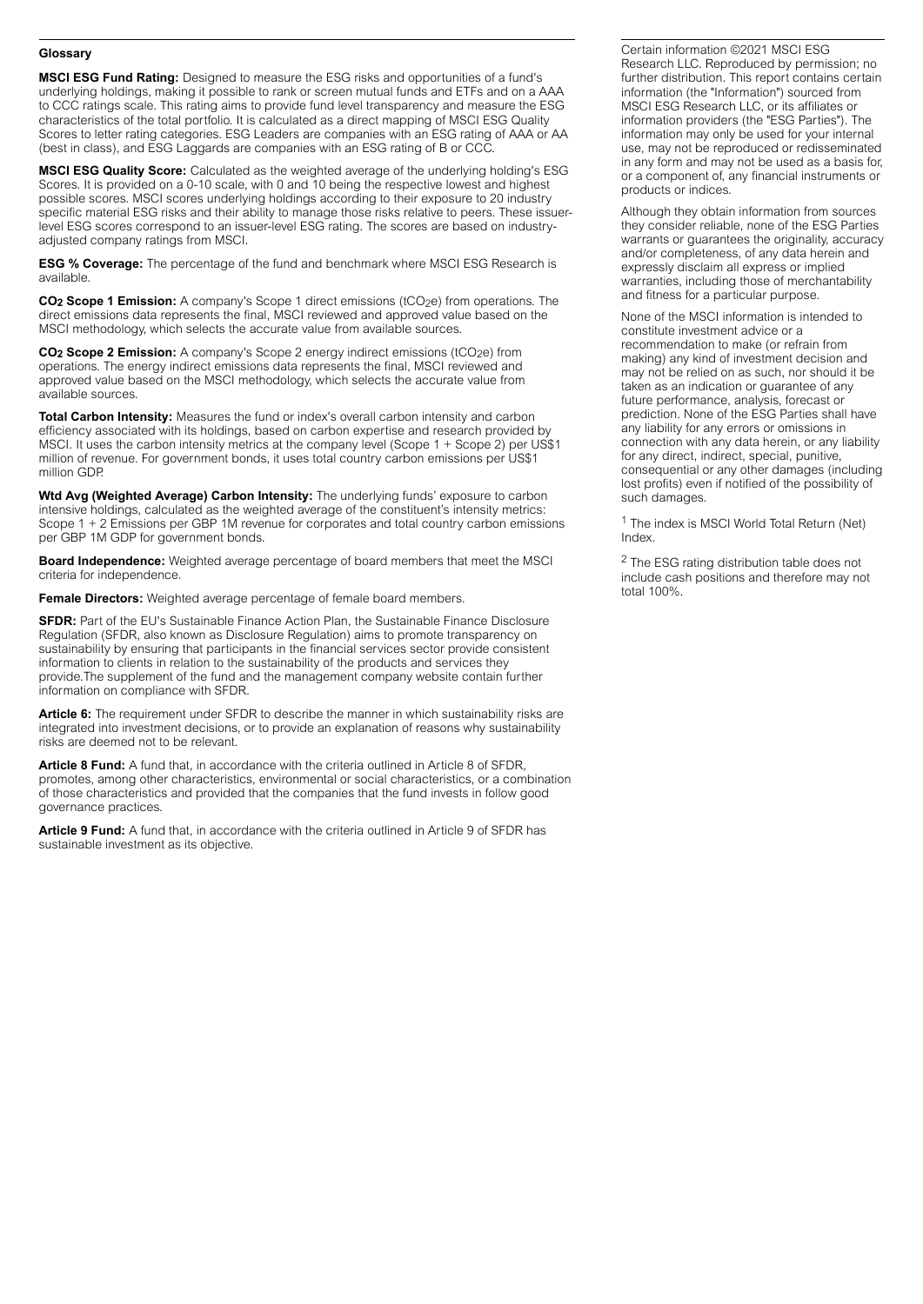# **Glossary**

**MSCI ESG Fund Rating:** Designed to measure the ESG risks and opportunities of a fund's underlying holdings, making it possible to rank or screen mutual funds and ETFs and on a AAA to CCC ratings scale. This rating aims to provide fund level transparency and measure the ESG characteristics of the total portfolio. It is calculated as a direct mapping of MSCI ESG Quality Scores to letter rating categories. ESG Leaders are companies with an ESG rating of AAA or AA (best in class), and ESG Laggards are companies with an ESG rating of B or CCC.

**MSCI ESG Quality Score:** Calculated as the weighted average of the underlying holding's ESG Scores. It is provided on a 0-10 scale, with 0 and 10 being the respective lowest and highest possible scores. MSCI scores underlying holdings according to their exposure to 20 industry specific material ESG risks and their ability to manage those risks relative to peers. These issuerlevel ESG scores correspond to an issuer-level ESG rating. The scores are based on industryadjusted company ratings from MSCI.

**ESG % Coverage:** The percentage of the fund and benchmark where MSCI ESG Research is available.

**CO<sub>2</sub> Scope 1 Emission:** A company's Scope 1 direct emissions (tCO<sub>2</sub>e) from operations. The direct emissions data represents the final, MSCI reviewed and approved value based on the MSCI methodology, which selects the accurate value from available sources.

**CO<sub>2</sub> Scope 2 Emission:** A company's Scope 2 energy indirect emissions (tCO<sub>2</sub>e) from operations. The energy indirect emissions data represents the final, MSCI reviewed and approved value based on the MSCI methodology, which selects the accurate value from available sources.

**Total Carbon Intensity:** Measures the fund or index's overall carbon intensity and carbon efficiency associated with its holdings, based on carbon expertise and research provided by MSCI. It uses the carbon intensity metrics at the company level (Scope 1 + Scope 2) per US\$1 million of revenue. For government bonds, it uses total country carbon emissions per US\$1 million GDP.

**Wtd Avg (Weighted Average) Carbon Intensity:** The underlying funds' exposure to carbon intensive holdings, calculated as the weighted average of the constituent's intensity metrics: Scope 1 + 2 Emissions per GBP 1M revenue for corporates and total country carbon emissions per GBP 1M GDP for government bonds.

**Board Independence:** Weighted average percentage of board members that meet the MSCI criteria for independence.

**Female Directors:** Weighted average percentage of female board members.

**SFDR:** Part of the EU's Sustainable Finance Action Plan, the Sustainable Finance Disclosure Regulation (SFDR, also known as Disclosure Regulation) aims to promote transparency on sustainability by ensuring that participants in the financial services sector provide consistent information to clients in relation to the sustainability of the products and services they provide.The supplement of the fund and the management company website contain further information on compliance with SFDR.

Article 6: The requirement under SFDR to describe the manner in which sustainability risks are integrated into investment decisions, or to provide an explanation of reasons why sustainability risks are deemed not to be relevant.

**Article 8 Fund:** A fund that, in accordance with the criteria outlined in Article 8 of SFDR, promotes, among other characteristics, environmental or social characteristics, or a combination of those characteristics and provided that the companies that the fund invests in follow good governance practices.

**Article 9 Fund:** A fund that, in accordance with the criteria outlined in Article 9 of SFDR has sustainable investment as its objective.

Certain information ©2021 MSCI ESG Research LLC. Reproduced by permission; no further distribution. This report contains certain information (the "Information") sourced from MSCI ESG Research LLC, or its affiliates or information providers (the "ESG Parties"). The information may only be used for your internal use, may not be reproduced or redisseminated in any form and may not be used as a basis for, or a component of, any financial instruments or products or indices.

Although they obtain information from sources they consider reliable, none of the ESG Parties warrants or quarantees the originality, accuracy and/or completeness, of any data herein and expressly disclaim all express or implied warranties, including those of merchantability and fitness for a particular purpose.

None of the MSCI information is intended to constitute investment advice or a recommendation to make (or refrain from making) any kind of investment decision and may not be relied on as such, nor should it be taken as an indication or guarantee of any future performance, analysis, forecast or prediction. None of the ESG Parties shall have any liability for any errors or omissions in connection with any data herein, or any liability for any direct, indirect, special, punitive, consequential or any other damages (including lost profits) even if notified of the possibility of such damages.

<sup>1</sup> The index is MSCI World Total Return (Net) Index.

<sup>2</sup> The ESG rating distribution table does not include cash positions and therefore may not total 100%.